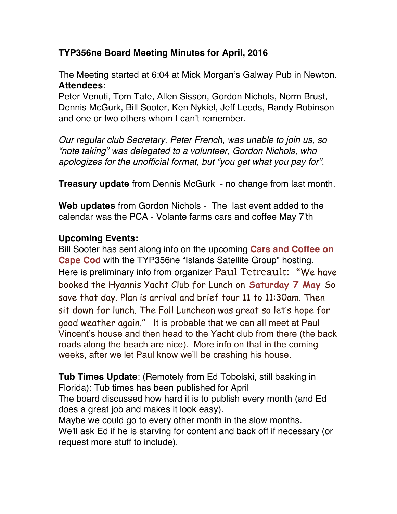## **TYP356ne Board Meeting Minutes for April, 2016**

The Meeting started at 6:04 at Mick Morgan's Galway Pub in Newton. **Attendees**:

Peter Venuti, Tom Tate, Allen Sisson, Gordon Nichols, Norm Brust, Dennis McGurk, Bill Sooter, Ken Nykiel, Jeff Leeds, Randy Robinson and one or two others whom I can't remember.

*Our regular club Secretary, Peter French, was unable to join us, so "note taking" was delegated to a volunteer, Gordon Nichols, who apologizes for the unofficial format, but "you get what you pay for".* 

**Treasury update** from Dennis McGurk - no change from last month.

**Web updates** from Gordon Nichols - The last event added to the calendar was the PCA - Volante farms cars and coffee May 7'th

## **Upcoming Events:**

Bill Sooter has sent along info on the upcoming **Cars and Coffee on Cape Cod** with the TYP356ne "Islands Satellite Group" hosting. Here is preliminary info from organizer Paul Tetreault: "We have booked the Hyannis Yacht Club for Lunch on **Saturday 7 May** So save that day. Plan is arrival and brief tour 11 to 11:30am. Then sit down for lunch. The Fall Luncheon was great so let's hope for good weather again." It is probable that we can all meet at Paul Vincent's house and then head to the Yacht club from there (the back roads along the beach are nice). More info on that in the coming weeks, after we let Paul know we'll be crashing his house.

**Tub Times Update**: (Remotely from Ed Tobolski, still basking in Florida): Tub times has been published for April The board discussed how hard it is to publish every month (and Ed does a great job and makes it look easy). Maybe we could go to every other month in the slow months.

We'll ask Ed if he is starving for content and back off if necessary (or request more stuff to include).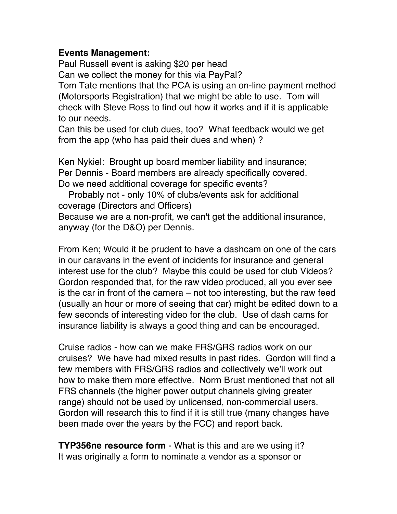## **Events Management:**

Paul Russell event is asking \$20 per head Can we collect the money for this via PayPal? Tom Tate mentions that the PCA is using an on-line payment method (Motorsports Registration) that we might be able to use. Tom will check with Steve Ross to find out how it works and if it is applicable to our needs.

Can this be used for club dues, too? What feedback would we get from the app (who has paid their dues and when) ?

Ken Nykiel: Brought up board member liability and insurance; Per Dennis - Board members are already specifically covered. Do we need additional coverage for specific events?

Probably not - only 10% of clubs/events ask for additional coverage (Directors and Officers)

Because we are a non-profit, we can't get the additional insurance, anyway (for the D&O) per Dennis.

From Ken; Would it be prudent to have a dashcam on one of the cars in our caravans in the event of incidents for insurance and general interest use for the club? Maybe this could be used for club Videos? Gordon responded that, for the raw video produced, all you ever see is the car in front of the camera – not too interesting, but the raw feed (usually an hour or more of seeing that car) might be edited down to a few seconds of interesting video for the club. Use of dash cams for insurance liability is always a good thing and can be encouraged.

Cruise radios - how can we make FRS/GRS radios work on our cruises? We have had mixed results in past rides. Gordon will find a few members with FRS/GRS radios and collectively we'll work out how to make them more effective. Norm Brust mentioned that not all FRS channels (the higher power output channels giving greater range) should not be used by unlicensed, non-commercial users. Gordon will research this to find if it is still true (many changes have been made over the years by the FCC) and report back.

**TYP356ne resource form** - What is this and are we using it? It was originally a form to nominate a vendor as a sponsor or